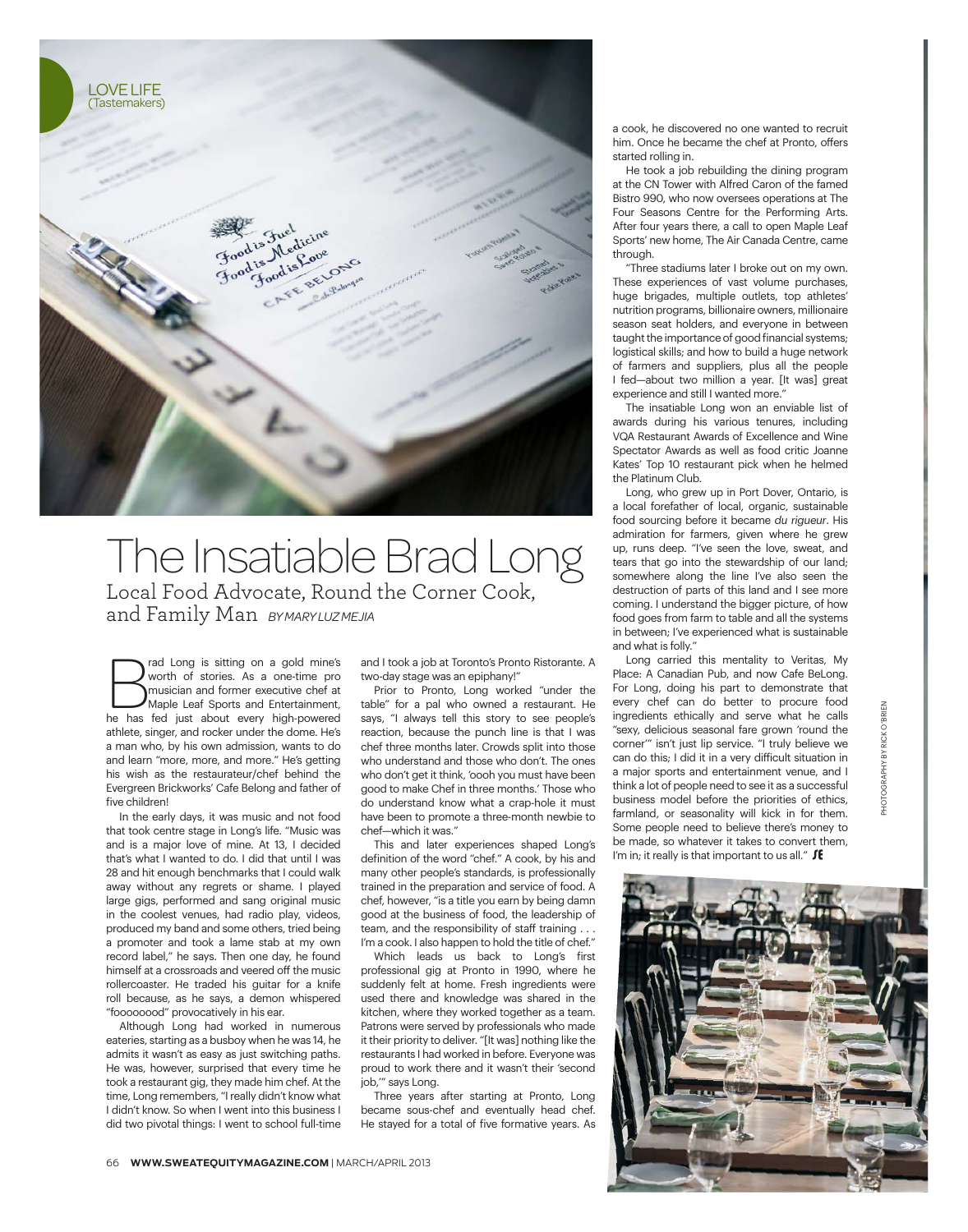

## The Insatiable Brad Long Local Food Advocate, Round the Corner Cook, and Family Man *BY MARY LUZ MEJIA*

**Example 1** and Long is sitting on a gold mine's worth of stories. As a one-time promusician and former executive chef at Maple Leaf Sports and Entertainment, he has fed just about every high-powered worth of stories. As a one-time pro musician and former executive chef at Maple Leaf Sports and Entertainment, athlete, singer, and rocker under the dome. He's a man who, by his own admission, wants to do and learn "more, more, and more." He's getting his wish as the restaurateur/chef behind the Evergreen Brickworks' Cafe Belong and father of five children!

In the early days, it was music and not food that took centre stage in Long's life. "Music was and is a major love of mine. At 13, I decided that's what I wanted to do. I did that until I was 28 and hit enough benchmarks that I could walk away without any regrets or shame. I played large gigs, performed and sang original music in the coolest venues, had radio play, videos, produced my band and some others, tried being a promoter and took a lame stab at my own record label," he says. Then one day, he found himself at a crossroads and veered off the music rollercoaster. He traded his guitar for a knife roll because, as he says, a demon whispered "foooooood" provocatively in his ear.

Although Long had worked in numerous eateries, starting as a busboy when he was 14, he admits it wasn't as easy as just switching paths. He was, however, surprised that every time he took a restaurant gig, they made him chef. At the time, Long remembers, "I really didn't know what I didn't know. So when I went into this business I did two pivotal things: I went to school full-time and I took a job at Toronto's Pronto Ristorante. A two-day stage was an epiphany!"

Prior to Pronto, Long worked "under the table" for a pal who owned a restaurant. He says, "I always tell this story to see people's reaction, because the punch line is that I was chef three months later. Crowds split into those who understand and those who don't. The ones who don't get it think, 'oooh you must have been good to make Chef in three months.' Those who do understand know what a crap-hole it must have been to promote a three-month newbie to chef—which it was."

This and later experiences shaped Long's definition of the word "chef." A cook, by his and many other people's standards, is professionally trained in the preparation and service of food. A chef, however, "is a title you earn by being damn good at the business of food, the leadership of team, and the responsibility of staff training . . . I'm a cook. I also happen to hold the title of chef."

Which leads us back to Long's first professional gig at Pronto in 1990, where he suddenly felt at home. Fresh ingredients were used there and knowledge was shared in the kitchen, where they worked together as a team. Patrons were served by professionals who made it their priority to deliver. "[It was] nothing like the restaurants I had worked in before. Everyone was proud to work there and it wasn't their 'second job,'" says Long.

Three years after starting at Pronto, Long became sous-chef and eventually head chef. He stayed for a total of five formative years. As

a cook, he discovered no one wanted to recruit him. Once he became the chef at Pronto, offers started rolling in.

He took a job rebuilding the dining program at the CN Tower with Alfred Caron of the famed Bistro 990, who now oversees operations at The Four Seasons Centre for the Performing Arts. After four years there, a call to open Maple Leaf Sports' new home, The Air Canada Centre, came through.

"Three stadiums later I broke out on my own. These experiences of vast volume purchases, huge brigades, multiple outlets, top athletes' nutrition programs, billionaire owners, millionaire season seat holders, and everyone in between taught the importance of good financial systems; logistical skills; and how to build a huge network of farmers and suppliers, plus all the people I fed—about two million a year. [It was] great experience and still I wanted more."

The insatiable Long won an enviable list of awards during his various tenures, including VQA Restaurant Awards of Excellence and Wine Spectator Awards as well as food critic Joanne Kates' Top 10 restaurant pick when he helmed the Platinum Club.

Long, who grew up in Port Dover, Ontario, is a local forefather of local, organic, sustainable food sourcing before it became *du rigueur*. His admiration for farmers, given where he grew up, runs deep. "I've seen the love, sweat, and tears that go into the stewardship of our land; somewhere along the line I've also seen the destruction of parts of this land and I see more coming. I understand the bigger picture, of how food goes from farm to table and all the systems in between; I've experienced what is sustainable and what is folly."

Long carried this mentality to Veritas, My Place: A Canadian Pub, and now Cafe BeLong. For Long, doing his part to demonstrate that every chef can do better to procure food ingredients ethically and serve what he calls "sexy, delicious seasonal fare grown 'round the corner'" isn't just lip service. "I truly believe we can do this; I did it in a very difficult situation in a major sports and entertainment venue, and I think a lot of people need to see it as a successful business model before the priorities of ethics, farmland, or seasonality will kick in for them. Some people need to believe there's money to be made, so whatever it takes to convert them, I'm in; it really is that important to us all."  $\int f$